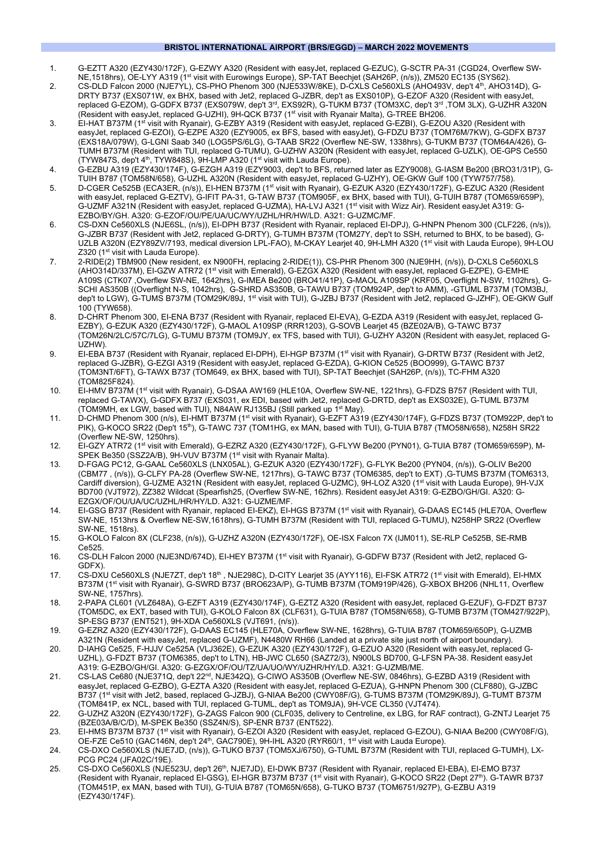#### **BRISTOL INTERNATIONAL AIRPORT (BRS/EGGD) – MARCH 2022 MOVEMENTS**

- 1. G-EZTT A320 (EZY430/172F), G-EZWY A320 (Resident with easyJet, replaced G-EZUC), G-SCTR PA-31 (CGD24, Overflew SW-NE,1518hrs), OE-LYY A319 (1st visit with Eurowings Europe), SP-TAT Beechjet (SAH26P, (n/s)), ZM520 EC135 (SYS62).
- 2. CS-DLD Falcon 2000 (NJE7YL), CS-PHO Phenom 300 (NJE533W/8KE), D-CXLS Ce560XLS (AHO493V, dep't 4th, AHO314D), G-DRTY B737 (EXS071W, ex BHX, based with Jet2, replaced G-JZBR, dep't as EXS010P), G-EZOF A320 (Resident with easyJet, replaced G-EZOM), G-GDFX B737 (EXS079W, dep't 3rd, EXS92R), G-TUKM B737 (TOM3XC, dep't 3rd ,TOM 3LX), G-UZHR A320N (Resident with easyJet, replaced G-UZHI), 9H-QCK B737 (1<sup>st</sup> visit with Ryanair Malta), G-TREE BH206.
- 3. EI-HAT B737M (1<sup>st</sup> visit with Ryanair), G-EZBY A319 (Resident with easyJet, replaced G-EZBI), G-EZOU A320 (Resident with easyJet, replaced G-EZOI), G-EZPE A320 (EZY9005, ex BFS, based with easyJet), G-FDZU B737 (TOM76M/7KW), G-GDFX B737 (EXS18A/079W), G-LGNI Saab 340 (LOG5PS/6LG), G-TAAB SR22 (Overflew NE-SW, 1338hrs), G-TUKM B737 (TOM64A/426), G-TUMH B737M (Resident with TUI, replaced G-TUMU), G-UZHW A320N (Resident with easyJet, replaced G-UZLK), OE-GPS Ce550 (TYW847S, dep't  $4<sup>th</sup>$ , TYW848S),  $9H-LMP A320$  ( $1<sup>st</sup>$  visit with Lauda Europe).
- 4. G-EZBU A319 (EZY430/174F), G-EZGH A319 (EZY9003, dep't to BFS, returned later as EZY9008), G-IASM Be200 (BRO31/31P), G-TUIH B787 (TOM58N/658), G-UZHL A320N (Resident with easyJet, replaced G-UZHY), OE-GKW Gulf 100 (TYW757/758).
- 5. D-CGER Ce525B (ECA3ER, (n/s)), EI-HEN B737M (1<sup>st</sup> visit with Ryanair), G-EZUK A320 (EZY430/172F), G-EZUC A320 (Resident with easyJet, replaced G-EZTV), G-IFIT PA-31, G-TAW B737 (TOM905F, ex BHX, based with TUI), G-TUIH B787 (TOM659/659P), G-UZMF A321N (Resident with easyJet, replaced G-UZMA), HA-LVJ A321 (1<sup>st</sup> visit with Wizz Air). Resident easyJet A319: G-EZBO/BY/GH. A320: G-EZOF/OU/PE/UA/UC/WY/UZHL/HR/HW/LD. A321: G-UZMC/MF.
- 6. CS-DXN Ce560XLS (NJE6SL, (n/s)), EI-DPH B737 (Resident with Ryanair, replaced EI-DPJ), G-HNPN Phenom 300 (CLF226, (n/s)), G-JZBR B737 (Resident with Jet2, replaced G-DRTY), G-TUMH B737M (TOM27Y, dep't to SSH, returned to BHX, to be based), G-UZLB A320N (EZY89ZV/7193, medical diversion LPL-FAO), M-CKAY Learjet 40, 9H-LMH A320 (1st visit with Lauda Europe), 9H-LOU Z320 (1<sup>st</sup> visit with Lauda Europe).
- 7. 2-RIDE(2) TBM900 (New resident, ex N900FH, replacing 2-RIDE(1)), CS-PHR Phenom 300 (NJE9HH, (n/s)), D-CXLS Ce560XLS (AHO314D/337M), EI-GZW ATR72 (1st visit with Emerald), G-EZGX A320 (Resident with easyJet, replaced G-EZPE), G-EMHE A109S (CTK07 ,Overflew SW-NE, 1642hrs), G-IMEA Be200 (BRO41/41P), G-MAOL A109SP (KRF05, Overflight N-SW, 1102hrs), G-SCHI AS350B ((Overflight N-S, 1042hrs), G-SHRD AS350B, G-TAWU B737 (TOM924P, dep't to AMM), -GTUML B737M (TOM3BJ, dep't to LGW), G-TUMS B737M (TOM29K/89J, 1<sup>st</sup> visit with TUI), G-JZBJ B737 (Resident with Jet2, replaced G-JZHF), OE-GKW Gulf 100 (TYW658).
- 8. D-CHRT Phenom 300, EI-ENA B737 (Resident with Ryanair, replaced EI-EVA), G-EZDA A319 (Resident with easyJet, replaced G-EZBY), G-EZUK A320 (EZY430/172F), G-MAOL A109SP (RRR1203), G-SOVB Learjet 45 (BZE02A/B), G-TAWC B737 (TOM26N/2LC/57C/7LG), G-TUMU B737M (TOM9JY, ex TFS, based with TUI), G-UZHY A320N (Resident with easyJet, replaced G-UZHW).
- 9. EI-EBA B737 (Resident with Ryanair, replaced EI-DPH), EI-HGP B737M (1st visit with Ryanair), G-DRTW B737 (Resident with Jet2, replaced G-JZBR), G-EZGI A319 (Resident with easyJet, replaced G-EZDA), G-KION Ce525 (BOO999), G-TAWC B737 (TOM3NT/6FT), G-TAWX B737 (TOM649, ex BHX, based with TUI), SP-TAT Beechjet (SAH26P, (n/s)), TC-FHM A320 (TOM825F824).
- 10. EI-HMV B737M (1st visit with Ryanair), G-DSAA AW169 (HLE10A, Overflew SW-NE, 1221hrs), G-FDZS B757 (Resident with TUI, replaced G-TAWX), G-GDFX B737 (EXS031, ex EDI, based with Jet2, replaced G-DRTD, dep't as EXS032E), G-TUML B737M (TOM9MH, ex LGW, based with TUI), N84AW RJ135BJ (Still parked up 1st May).
- 11. D-CHMD Phenom 300 (n/s), EI-HMT B737M (1st visit with Ryanair), G-EZFT A319 (EZY430/174F), G-FDZS B737 (TOM922P, dep't to PIK), G-KOCO SR22 (Dep't 15<sup>th</sup>), G-TAWC 737 (TOM1HG, ex MAN, based with TUI), G-TUIA B787 (TMO58N/658), N258H SR22 (Overflew NE-SW, 1250hrs).
- 12. EI-GZY ATR72 (1st visit with Emerald), G-EZRZ A320 (EZY430/172F), G-FLYW Be200 (PYN01), G-TUIA B787 (TOM659/659P), M-SPEK Be350 (SSZ2A/B), 9H-VUV B737M (1<sup>st</sup> visit with Ryanair Malta).
- 13. D-FGAG PC12, G-GAAL Ce560XLS (LNX05AL), G-EZUK A320 (EZY430/172F), G-FLYK Be200 (PYN04, (n/s)), G-OLIV Be200 (CBM77 , (n/s)), G-CLFY PA-28 (Overflew SW-NE, 1217hrs), G-TAWC B737 (TOM6385, dep't to EXT) ,G-TUMS B737M (TOM6313, Cardiff diversion), G-UZME A321N (Resident with easyJet, replaced G-UZMC), 9H-LOZ A320 (1<sup>st</sup> visit with Lauda Europe), 9H-VJX BD700 (VJT972), ZZ382 Wildcat (Spearfish25, (Overflew SW-NE, 162hrs). Resident easyJet A319: G-EZBO/GH/GI. A320: G-EZGX/OF/OU/UA/UC/UZHL/HR/HY/LD. A321: G-UZME/MF.
- 14. EI-GSG B737 (Resident with Ryanair, replaced EI-EKZ), EI-HGS B737M (1<sup>st</sup> visit with Ryanair), G-DAAS EC145 (HLE70A, Overflew SW-NE, 1513hrs & Overflew NE-SW,1618hrs), G-TUMH B737M (Resident with TUI, replaced G-TUMU), N258HP SR22 (Overflew SW-NE, 1518rs).
- 15. G-KOLO Falcon 8X (CLF238, (n/s)), G-UZHZ A320N (EZY430/172F), OE-ISX Falcon 7X (IJM011), SE-RLP Ce525B, SE-RMB Ce525.
- 16. CS-DLH Falcon 2000 (NJE3ND/674D), EI-HEY B737M (1st visit with Ryanair), G-GDFW B737 (Resident with Jet2, replaced G-GDFX).
- 17. CS-DXU Ce560XLS (NJE7ZT, dep't 18<sup>th</sup> , NJE298C), D-CITY Learjet 35 (AYY116), EI-FSK ATR72 (1<sup>st</sup> visit with Emerald), EI-HMX B737M (1<sup>st</sup> visit with Ryanair), G-SWRD B737 (BRO623A/P), G-TUMB B737M (TOM919P/426), G-XBOX BH206 (NHL11, Overflew SW-NE, 1757hrs).
- 18. 2-PAPA CL601 (VLZ648A), G-EZFT A319 (EZY430/174F), G-EZTZ A320 (Resident with easyJet, replaced G-EZUF), G-FDZT B737 (TOM5DC, ex EXT, based with TUI), G-KOLO Falcon 8X (CLF631), G-TUIA B787 (TOM58N/658), G-TUMB B737M (TOM427/922P), SP-ESG B737 (ENT521), 9H-XDA Ce560XLS (VJT691, (n/s)).
- 19. G-EZRZ A320 (EZY430/172F), G-DAAS EC145 (HLE70A, Overflew SW-NE, 1628hrs), G-TUIA B787 (TOM659/650P), G-UZMB A321N (Resident with easyJet, replaced G-UZMF), N4480W RH66 (Landed at a private site just north of airport boundary).
- 20. D-IAHG Ce525, F-HJJV Ce525A (VLJ362E), G-EZUK A320 (EZY430/172F), G-EZUO A320 (Resident with easyJet, replaced G-UZHL), G-FDZT B737 (TOM6385, dep't to LTN), HB-JWC CL650 (SAZ72/3), N900LS BD700, G-LFSN PA-38. Resident easyJet A319: G-EZBO/GH/GI. A320: G-EZGX/OF/OU/TZ/UA/UO/WY/UZHR/HY/LD. A321: G-UZMB/ME.
- 21. CS-LAS Ce680 (NJE371Q, dep't 22nd, NJE342Q), G-CIWO AS350B (Overflew NE-SW, 0846hrs), G-EZBD A319 (Resident with easyJet, replaced G-EZBO), G-EZTA A320 (Resident with easyJet, replaced G-EZUA), G-HNPN Phenom 300 (CLF880), G-JZBC B737 (1st visit with Jet2, based, replaced G-JZBJ), G-NIAA Be200 (CWY08F/G), G-TUMS B737M (TOM29K/89J), G-TUMT B737M (TOM841P, ex NCL, based with TUI, replaced G-TUML, dep't as TOM9JA), 9H-VCE CL350 (VJT474).
- 22. G-UZHZ A320N (EZY430/172F), G-ZAGS Falcon 900 (CLF035, delivery to Centreline, ex LBG, for RAF contract), G-ZNTJ Learjet 75 (BZE03A/B/C/D), M-SPEK Be350 (SSZ4N/S), SP-ENR B737 (ENT522).
- 23. EI-HMS B737M B737 (1st visit with Ryanair), G-EZOI A320 (Resident with easyJet, replaced G-EZOU), G-NIAA Be200 (CWY08F/G), OE-FZE Ce510 (GAC146N, dep't 24<sup>th</sup>, GAC790E), 9H-IHL A320 (RYR60/1, 1<sup>st</sup> visit with Lauda Europe).
- 24. CS-DXO Ce560XLS (NJE7JD, (n/s)), G-TUKO B737 (TOM5XJ/6750), G-TUML B737M (Resident with TUI, replaced G-TUMH), LX-PCG PC24 (JFA02C/19E).
- 25. CS-DXO Ce560XLS (NJE523U, dep't 26<sup>th</sup>, NJE7JD), EI-DWK B737 (Resident with Ryanair, replaced EI-EBA), EI-EMO B737 (Resident with Ryanair, replaced EI-GSG), EI-HGR B737M B737 (1<sup>st</sup> visit with Ryanair), G-KOCO SR22 (Dept 27<sup>th</sup>). G-TAWR B737 (TOM451P, ex MAN, based with TUI), G-TUIA B787 (TOM65N/658), G-TUKO B737 (TOM6751/927P), G-EZBU A319 (EZY430/174F).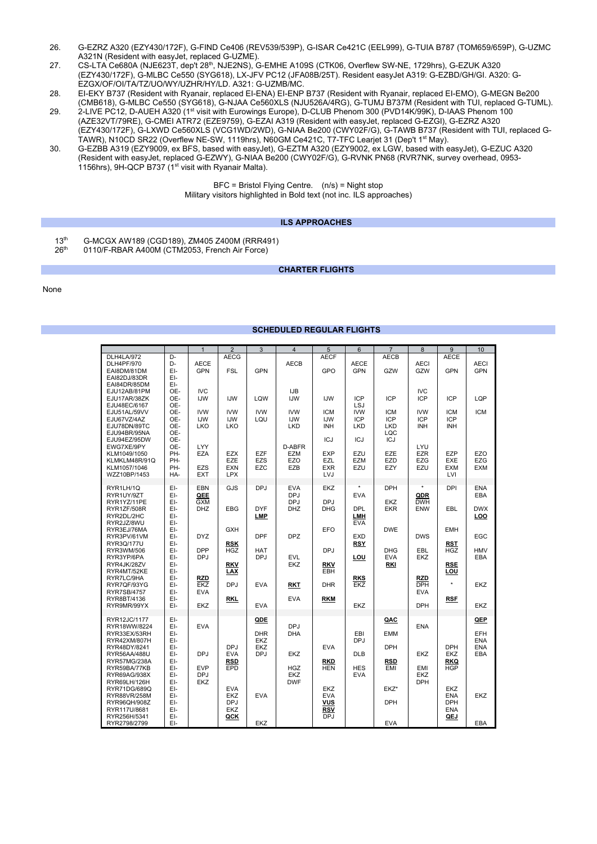- 26. G-EZRZ A320 (EZY430/172F), G-FIND Ce406 (REV539/539P), G-ISAR Ce421C (EEL999), G-TUIA B787 (TOM659/659P), G-UZMC A321N (Resident with easyJet, replaced G-UZME).
- 27. CS-LTA Ce680A (NJE623T, dep't 28th, NJE2NS), G-EMHE A109S (CTK06, Overflew SW-NE, 1729hrs), G-EZUK A320 (EZY430/172F), G-MLBC Ce550 (SYG618), LX-JFV PC12 (JFA08B/25T). Resident easyJet A319: G-EZBD/GH/GI. A320: G-EZGX/OF/OI/TA/TZ/UO/WY/UZHR/HY/LD. A321: G-UZMB/MC.
- 28. EI-EKY B737 (Resident with Ryanair, replaced EI-ENA) EI-ENP B737 (Resident with Ryanair, replaced EI-EMO), G-MEGN Be200 (CMB618), G-MLBC Ce550 (SYG618), G-NJAA Ce560XLS (NJU526A/4RG), G-TUMJ B737M (Resident with TUI, replaced G-TUML). 29. 2-LIVE PC12, D-AUEH A320 (1st visit with Eurowings Europe), D-CLUB Phenom 300 (PVD14K/99K), D-IAAS Phenom 100
- (AZE32VT/79RE), G-CMEI ATR72 (EZE9759), G-EZAI A319 (Resident with easyJet, replaced G-EZGI), G-EZRZ A320 (EZY430/172F), G-LXWD Ce560XLS (VCG1WD/2WD), G-NIAA Be200 (CWY02F/G), G-TAWB B737 (Resident with TUI, replaced G-TAWR), N10CD SR22 (Overflew NE-SW, 1119hrs), N60GM Ce421C, T7-TFC Learjet 31 (Dep't 1<sup>st</sup> May).
- 30. G-EZBB A319 (EZY9009, ex BFS, based with easyJet), G-EZTM A320 (EZY9002, ex LGW, based with easyJet), G-EZUC A320 (Resident with easyJet, replaced G-EZWY), G-NIAA Be200 (CWY02F/G), G-RVNK PN68 (RVR7NK, survey overhead, 0953- 1156hrs), 9H-QCP B737 (1st visit with Ryanair Malta).

BFC = Bristol Flying Centre. (n/s) = Night stop Military visitors highlighted in Bold text (not inc. ILS approaches)

## **ILS APPROACHES**

- 13<sup>th</sup> G-MCGX AW189 (CGD189), ZM405 Z400M (RRR491)<br>26<sup>th</sup> 0110/F-RBAR A400M (CTM2053, French Air Force)
- 0110/F-RBAR A400M (CTM2053, French Air Force)

#### **CHARTER FLIGHTS**

# None

# **SCHEDULED REGULAR FLIGHTS**

|                                   |            | $\overline{1}$    | $\overline{2}$    | 3          | $\overline{4}$           | 5                        | 6                 | $\overline{7}$    | 8                 | $\overline{9}$           | 10          |
|-----------------------------------|------------|-------------------|-------------------|------------|--------------------------|--------------------------|-------------------|-------------------|-------------------|--------------------------|-------------|
| DLH4LA/972                        | D-         |                   | <b>AECG</b>       |            |                          | <b>AECF</b>              |                   | <b>AECB</b>       |                   | <b>AECE</b>              |             |
| DLH4PF/970                        | D-         | <b>AECE</b>       |                   |            | AECB                     |                          | <b>AECE</b>       |                   | <b>AECI</b>       |                          | <b>AECI</b> |
| EAI8DM/81DM                       | EI-        | <b>GPN</b>        | <b>FSL</b>        | <b>GPN</b> |                          | GPO                      | <b>GPN</b>        | GZW               | GZW               | <b>GPN</b>               | <b>GPN</b>  |
| EAI82DJ/83DR                      | EI-        |                   |                   |            |                          |                          |                   |                   |                   |                          |             |
| EAI84DR/85DM                      | EI-        |                   |                   |            |                          |                          |                   |                   |                   |                          |             |
| EJU12AB/81PM                      | OE-        | <b>IVC</b>        |                   |            | IJB                      |                          |                   |                   | <b>IVC</b>        |                          |             |
| EJU17AR/38ZK                      | OE-        | <b>IJW</b>        | <b>IJW</b>        | LQW        | <b>IJW</b>               | <b>IJW</b>               | <b>ICP</b>        | <b>ICP</b>        | <b>ICP</b>        | <b>ICP</b>               | LQP         |
| EJU48EC/6167                      | OE-        | <b>IVW</b>        | <b>IVW</b>        | <b>IVW</b> | <b>IVW</b>               |                          | LSJ<br><b>IVW</b> | <b>ICM</b>        | <b>IVW</b>        | <b>ICM</b>               | <b>ICM</b>  |
| EJU51AL/59VV<br>EJU67VZ/4AZ       | OE-<br>OE- | <b>IJW</b>        | <b>IJW</b>        | LQU        | IJW                      | <b>ICM</b><br><b>IJW</b> | <b>ICP</b>        | <b>ICP</b>        | <b>ICP</b>        | ICP                      |             |
| EJU78DN/89TC                      | OE-        | <b>LKO</b>        | LKO               |            | LKD                      | <b>INH</b>               | <b>LKD</b>        | <b>LKD</b>        | <b>INH</b>        | <b>INH</b>               |             |
| EJU94BR/95NA                      | OE-        |                   |                   |            |                          |                          |                   | LQC               |                   |                          |             |
| EJU94EZ/95DW                      | OE-        |                   |                   |            |                          | ICJ                      | <b>ICJ</b>        | <b>ICJ</b>        |                   |                          |             |
| EWG7XE/9PY                        | OE-        | LYY               |                   |            | D-ABFR                   |                          |                   |                   | LYU               |                          |             |
| KLM1049/1050                      | PH-        | <b>EZA</b>        | <b>EZX</b>        | <b>EZF</b> | EZM                      | <b>EXP</b>               | EZU               | <b>EZE</b>        | <b>EZR</b>        | <b>EZP</b>               | EZO         |
| KLMKLM48R/91Q                     | PH-        |                   | EZE               | EZS        | EZO                      | <b>EZL</b>               | <b>EZM</b>        | EZD               | EZG               | EXE                      | <b>EZG</b>  |
| KLM1057/1046                      | PH-        | <b>EZS</b>        | <b>EXN</b>        | <b>EZC</b> | EZB                      | <b>EXR</b>               | EZU               | EZY               | EZU               | EXM                      | EXM         |
| WZZ10BP/1453                      | HA-        | <b>EXT</b>        | <b>LPX</b>        |            |                          | <b>LVJ</b>               |                   |                   |                   | LVI                      |             |
|                                   |            |                   |                   |            |                          |                          |                   |                   |                   |                          |             |
| RYR1LH/1Q                         | EI-<br>EI- | <b>EBN</b>        | GJS               | <b>DPJ</b> | <b>EVA</b>               | <b>EKZ</b>               | <b>EVA</b>        | <b>DPH</b>        |                   | <b>DPI</b>               | <b>ENA</b>  |
| RYR1UY/9ZT<br>RYR1YZ/11PE         | EI-        | QEE<br><b>GXM</b> |                   |            | <b>DPJ</b><br><b>DPJ</b> | <b>DPJ</b>               |                   | EKZ               | QDR<br><b>DWH</b> |                          | EBA         |
| RYR1ZF/508R                       | EI-        | DHZ               | <b>EBG</b>        | <b>DYF</b> | DHZ                      | <b>DHG</b>               | <b>DPL</b>        | EKR               | <b>ENW</b>        | EBL                      | <b>DWX</b>  |
| RYR2DL/2HC                        | EI-        |                   |                   | LMP        |                          |                          | LMH               |                   |                   |                          | LOO         |
| RYR2JZ/8WU                        | EI-        |                   |                   |            |                          |                          | <b>EVA</b>        |                   |                   |                          |             |
| RYR3EJ/76MA                       | EI-        |                   | <b>GXH</b>        |            |                          | EFO                      |                   | <b>DWE</b>        |                   | <b>EMH</b>               |             |
| RYR3PV/61VM                       | EI-        | <b>DYZ</b>        |                   | <b>DPF</b> | <b>DPZ</b>               |                          | <b>EXD</b>        |                   | <b>DWS</b>        |                          | EGC         |
| RYR3Q/177U                        | EI-        |                   | <b>RSK</b>        |            |                          |                          | <b>RSY</b>        |                   |                   | <b>RST</b>               |             |
| RYR3WM/506                        | EI-        | <b>DPP</b>        | <b>HGZ</b>        | <b>HAT</b> |                          | <b>DPJ</b>               |                   | <b>DHG</b>        | <b>EBL</b>        | <b>HGZ</b>               | <b>HMV</b>  |
| RYR3YP/6PA                        | EI-        | <b>DPJ</b>        |                   | <b>DPJ</b> | <b>EVL</b>               |                          | LOU               | <b>EVA</b>        | <b>EKZ</b>        |                          | <b>EBA</b>  |
| RYR4JK/28ZV                       | EI-        |                   | <b>RKV</b>        |            | EKZ                      | RKV                      |                   | RKI               |                   | <b>RSE</b>               |             |
| RYR4MT/52KE                       | Eŀ-        |                   | LAX               |            |                          | EBH                      |                   |                   |                   | LOU                      |             |
| RYR7LC/9HA                        | EI-        | <b>RZD</b>        |                   |            |                          |                          | <b>RKS</b>        |                   | RZD               | $\star$                  |             |
| RYR7QF/93YG                       | EI-        | EKZ               | <b>DPJ</b>        | <b>EVA</b> | RKT                      | <b>DHR</b>               | EKZ               |                   | <b>DPH</b>        |                          | EKZ         |
| <b>RYR7SB/4757</b><br>RYR8BT/4136 | EI-<br>EI- | <b>EVA</b>        | <b>RKL</b>        |            | <b>EVA</b>               | <b>RKM</b>               |                   |                   | <b>EVA</b>        | RSF                      |             |
| RYR9MR/99YX                       | Eŀ-        | EKZ               |                   | EVA        |                          |                          | EKZ               |                   | <b>DPH</b>        |                          | EKZ         |
|                                   |            |                   |                   |            |                          |                          |                   |                   |                   |                          |             |
| RYR12JC/1177                      | EI-        |                   |                   | QDE        |                          |                          |                   | QAC               |                   |                          | QEP         |
| RYR18WW/8224                      | EI-        | <b>EVA</b>        |                   |            | <b>DPJ</b>               |                          |                   |                   | <b>ENA</b>        |                          |             |
| RYR33EX/53RH                      | EI-        |                   |                   | <b>DHR</b> | <b>DHA</b>               |                          | EBI               | <b>EMM</b>        |                   |                          | <b>EFH</b>  |
| RYR42XM/807H                      | EI-        |                   |                   | EKZ        |                          |                          | DPJ               |                   |                   |                          | <b>ENA</b>  |
| RYR48DY/8241                      | EI-        |                   | <b>DPJ</b>        | EKZ        |                          | <b>EVA</b>               |                   | <b>DPH</b>        |                   | <b>DPH</b>               | <b>ENA</b>  |
| RYR56AA/488U                      | EI-        | <b>DPJ</b>        | <b>EVA</b>        | <b>DPJ</b> | EKZ                      |                          | <b>DLB</b>        |                   | EKZ               | EKZ                      | EBA         |
| RYR57MG/238A                      | EI-<br>EI- | <b>EVP</b>        | <b>RSD</b><br>EPD |            | <b>HGZ</b>               | RKD<br><b>HEN</b>        | <b>HES</b>        | <b>RSD</b><br>EMI | EMI               | <b>RKQ</b><br><b>HGP</b> |             |
| RYR59BA/77KB<br>RYR69AG/938X      | EI-        | <b>DPJ</b>        |                   |            | <b>EKZ</b>               |                          | <b>EVA</b>        |                   | EKZ               |                          |             |
| RYR69LH/126H                      | EI-        | <b>EKZ</b>        |                   |            | <b>DWF</b>               |                          |                   |                   | <b>DPH</b>        |                          |             |
| RYR71DG/689Q                      | EI-        |                   | <b>EVA</b>        |            |                          | EKZ                      |                   | EKZ*              |                   | EKZ                      |             |
| RYR88VR/258M                      | EI-        |                   | EKZ               | <b>EVA</b> |                          | <b>EVA</b>               |                   |                   |                   | <b>ENA</b>               | EKZ         |
| RYR96QH/908Z                      | EI-        |                   | <b>DPJ</b>        |            |                          | VUS                      |                   | <b>DPH</b>        |                   | <b>DPH</b>               |             |
| RYR117U/8681                      | EI-        |                   | EKZ               |            |                          | <b>RSV</b>               |                   |                   |                   | ENA                      |             |
| RYR256H/5341                      | EI-        |                   | QCK               |            |                          | <b>DPJ</b>               |                   |                   |                   | QEJ                      |             |
| RYR2798/2799                      | EI-        |                   |                   | EKZ        |                          |                          |                   | <b>EVA</b>        |                   |                          | EBA         |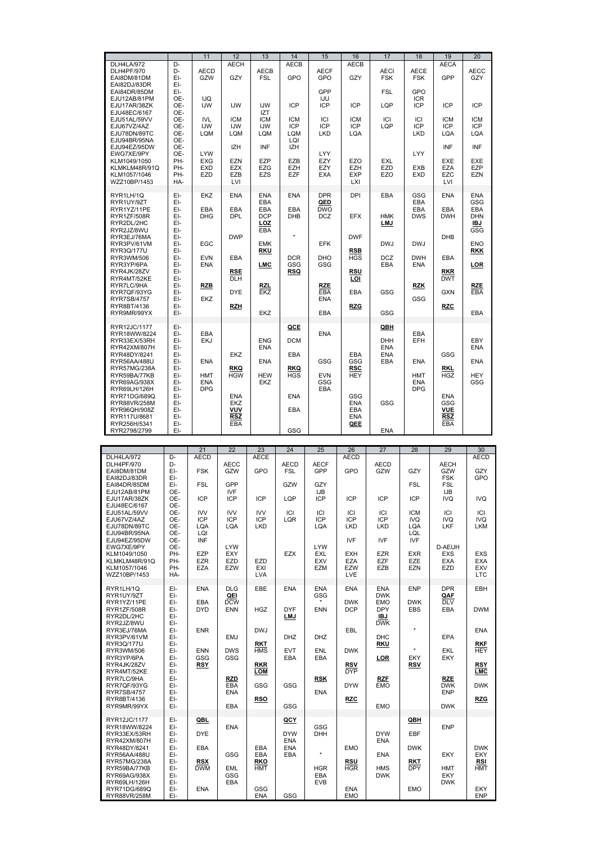|                                                               |                          | 11                              | 12                                     | 13                              | 14                              | 15                       | 16                              | 17                        | 18                       | 19                              | 20                              |
|---------------------------------------------------------------|--------------------------|---------------------------------|----------------------------------------|---------------------------------|---------------------------------|--------------------------|---------------------------------|---------------------------|--------------------------|---------------------------------|---------------------------------|
| DLH4LA/972<br>DLH4PF/970<br>EAI8DM/81DM                       | D-<br>D-<br>EI-          | <b>AECD</b><br>GZW              | <b>AECH</b><br>GZY                     | AECB<br><b>FSL</b>              | <b>AECB</b><br>GPO              | <b>AECF</b><br>GPO       | <b>AECB</b><br>GZY              | <b>AECI</b><br><b>FSK</b> | AECE<br><b>FSK</b>       | <b>AECA</b><br>GPP              | <b>AECC</b><br>GZY              |
| EAI82DJ/83DR<br>EAI84DR/85DM                                  | EI-<br>EI-               |                                 |                                        |                                 |                                 | GPP                      |                                 | <b>FSL</b>                | GPO                      |                                 |                                 |
| EJU12AB/81PM<br>EJU17AR/38ZK<br>EJU48EC/6167                  | OE-<br>OE-<br>OE-        | IJQ<br><b>IJW</b>               | <b>IJW</b>                             | IJW<br><b>IZT</b>               | <b>ICP</b>                      | IJU<br>ICP               | <b>ICP</b>                      | LQP                       | <b>ICR</b><br><b>ICP</b> | <b>ICP</b>                      | <b>ICP</b>                      |
| EJU51AL/59VV<br>EJU67VZ/4AZ<br>EJU78DN/89TC                   | OE-<br>OE-<br>OE-        | <b>IVL</b><br><b>IJW</b><br>LQM | <b>ICM</b><br><b>IJW</b><br>LQM        | <b>ICM</b><br><b>IJW</b><br>LQM | <b>ICM</b><br><b>ICP</b><br>LQM | ICI<br><b>ICP</b><br>LKD | <b>ICM</b><br><b>ICP</b><br>LQA | ICI<br>LQP                | ICI<br><b>ICP</b><br>LKD | <b>ICM</b><br><b>ICP</b><br>LQA | <b>ICM</b><br><b>ICP</b><br>LQA |
| EJU94BR/95NA<br>EJU94EZ/95DW<br>EWG7XE/9PY                    | OE-<br>OE-<br>OE-        | <b>LYW</b>                      | <b>IZH</b>                             | INF                             | LQI<br><b>IZH</b>               | LYY                      |                                 |                           | LYY                      | INF                             | INF                             |
| KLM1049/1050<br>KLMKLM48R/91Q<br>KLM1057/1046<br>WZZ10BP/1453 | PH-<br>PH-<br>PH-<br>HA- | <b>EXG</b><br><b>EXD</b><br>EZD | <b>EZN</b><br><b>EZX</b><br>EZB<br>LVI | EZP<br><b>EZG</b><br><b>EZS</b> | <b>EZB</b><br><b>EZH</b><br>EZF | EZY<br>EZY<br>EXA        | EZO<br>EZH<br><b>EXP</b><br>LXI | EXL<br>EZD<br>EZO         | <b>EXB</b><br><b>EXD</b> | EXE<br><b>EZA</b><br>EZC<br>LVI | EXE<br>EZP<br><b>EZN</b>        |
| RYR1LH/1Q<br>RYR1UY/9ZT                                       | EI-<br>EI-               | EKZ                             | <b>ENA</b>                             | <b>ENA</b><br>EBA               | <b>ENA</b>                      | <b>DPR</b><br>QED        | DPI                             | EBA                       | GSG<br><b>EBA</b>        | <b>ENA</b>                      | <b>ENA</b><br>GSG               |
| RYR1YZ/11PE<br>RYR1ZF/508R<br>RYR2DL/2HC<br>RYR2JZ/8WU        | EI-<br>EI-<br>EI-<br>EI- | EBA<br><b>DHG</b>               | EBA<br><b>DPL</b>                      | EBA<br><b>DCP</b><br>LOZ<br>EBA | <b>EBA</b><br><b>DHB</b>        | <b>DWO</b><br><b>DCZ</b> | <b>EFX</b>                      | HMK<br>LMJ                | EBA<br><b>DWS</b>        | EBA<br><b>DWH</b>               | EBA<br>DHN<br>IBJ<br>GSG        |
| RYR3EJ/76MA<br>RYR3PV/61VM                                    | EI-<br>EI-               | EGC                             | <b>DWP</b>                             | <b>EMK</b>                      |                                 | <b>EFK</b>               | <b>DWF</b>                      | <b>DWJ</b>                | <b>DWJ</b>               | <b>DHB</b>                      | <b>ENO</b>                      |
| RYR3Q/177U<br>RYR3WM/506<br>RYR3YP/6PA                        | EI-<br>EI-<br>EI-        | <b>EVN</b><br><b>ENA</b>        | <b>EBA</b>                             | <b>RKU</b><br><b>LMC</b>        | <b>DCR</b><br>GSG               | DHO<br>GSG               | <b>RSB</b><br><b>HGS</b>        | <b>DCZ</b><br>EBA         | <b>DWH</b><br><b>ENA</b> | EBA                             | <b>RKK</b><br><u>LOR</u>        |
| RYR4JK/28ZV<br>RYR4MT/52KE<br>RYR7LC/9HA                      | EI-<br>EI-<br>EI-        | <b>RZB</b>                      | <b>RSE</b><br><b>DLH</b>               | <b>RZL</b>                      | RSQ                             | <b>RZE</b>               | RSU<br>LOI                      |                           | <b>RZK</b>               | <b>RKR</b><br><b>DWT</b>        | <b>RZE</b>                      |
| RYR7QF/93YG<br><b>RYR7SB/4757</b><br>RYR8BT/4136              | EI-<br>EI-<br>EI-        | EKZ                             | <b>DYE</b><br><b>RZH</b>               | EKZ                             |                                 | EBA<br><b>ENA</b>        | EBA<br><b>RZG</b>               | GSG                       | GSG                      | <b>GXN</b><br><b>RZC</b>        | EBA                             |
| RYR9MR/99YX                                                   | EI-                      |                                 |                                        | EKZ                             |                                 | EBA                      |                                 | GSG                       |                          |                                 | EBA                             |
| RYR12JC/1177<br>RYR18WW/8224<br>RYR33EX/53RH                  | EI-<br>EI-<br>EI-        | EBA<br><b>EKJ</b>               |                                        | <b>ENG</b>                      | QCE<br><b>DCM</b>               | <b>ENA</b>               |                                 | QBH<br>DHH                | <b>EBA</b><br>EFH        |                                 | EBY                             |
| RYR42XM/807H<br>RYR48DY/8241                                  | EI-<br>EI-               |                                 | <b>EKZ</b>                             | <b>ENA</b>                      | <b>EBA</b>                      |                          | <b>EBA</b>                      | <b>ENA</b><br><b>ENA</b>  |                          | GSG                             | ENA                             |
| RYR56AA/488U<br>RYR57MG/238A<br>RYR59BA/77KB                  | EI-<br>EI-<br>EI-        | <b>ENA</b><br><b>HMT</b>        | <b>RKQ</b><br><b>HGW</b>               | <b>ENA</b><br><b>HEW</b>        | RKQ<br><b>HGS</b>               | GSG<br><b>EVN</b>        | GSG<br><b>RSC</b><br><b>HEY</b> | EBA                       | <b>ENA</b><br><b>HMT</b> | RKL<br><b>HGZ</b>               | <b>ENA</b><br><b>HEY</b>        |
| RYR69AG/938X<br>RYR69LH/126H<br>RYR71DG/689Q                  | EI-<br>EI-<br>EI-        | <b>ENA</b><br><b>DPG</b>        | <b>ENA</b>                             | EKZ                             | <b>ENA</b>                      | GSG<br>EBA               | GSG                             |                           | <b>ENA</b><br><b>DPG</b> | <b>ENA</b>                      | GSG                             |
| RYR88VR/258M<br>RYR96QH/908Z<br>RYR117U/8681                  | EI-<br>EI-<br>EI-        |                                 | EKZ<br>VUV<br><b>RSZ</b>               |                                 | EBA                             |                          | <b>ENA</b><br>EBA<br><b>ENA</b> | GSG                       |                          | GSG<br>VUE<br><b>RSZ</b>        |                                 |
| RYR256H/5341<br>RYR2798/2799                                  | EI-<br>EI-               |                                 | EBA                                    |                                 | GSG                             |                          | QEE                             | ENA                       |                          | EBA                             |                                 |
|                                                               |                          |                                 |                                        |                                 |                                 |                          |                                 |                           |                          |                                 |                                 |
|                                                               |                          | 21                              | 22                                     | 23                              | 24                              | 25                       | 26                              | 27                        | 28                       | 29                              | 30                              |
| DLH4LA/972<br>DLH4PF/970                                      | D-<br>D-                 | <b>AECD</b>                     | <b>AECC</b>                            | <b>AECE</b>                     | <b>AECD</b>                     | <b>AECF</b>              | <b>AECD</b>                     | <b>AECD</b>               |                          | <b>AECH</b>                     | <b>AECD</b>                     |
| EAI8DM/81DM                                                   | EI-<br>EI-               | <b>FSK</b>                      | GZW                                    | GPO                             | <b>FSL</b>                      | GPP                      | GPO                             | GZW                       | GZY                      | GZW<br><b>FSK</b>               | GZY<br>GPO                      |
| EAI82DJ/83DR<br>EAI84DR/85DM                                  | EI-                      | <b>FSL</b>                      | GPP                                    |                                 | GZW                             | GZY                      |                                 |                           | <b>FSL</b>               | <b>FSL</b>                      |                                 |
| EJU12AB/81PM<br>EJU17AR/38ZK                                  | OE-<br>OE-               | <b>ICP</b>                      | <b>IVF</b><br>ICP                      | <b>ICP</b>                      | LQP                             | <b>IJB</b><br><b>ICP</b> | <b>ICP</b>                      | <b>ICP</b>                | <b>ICP</b>               | IJB<br><b>IVQ</b>               | <b>IVQ</b>                      |
| EJU48EC/6167                                                  | OE-                      |                                 |                                        |                                 |                                 |                          |                                 |                           |                          |                                 |                                 |
| EJU51AL/59VV<br>EJU67VZ/4AZ                                   | OE-<br>OE-               | <b>IVV</b><br><b>ICP</b>        | <b>IVV</b><br><b>ICP</b>               | IVV<br><b>ICP</b>               | ICI<br>LQR                      | ICI<br><b>ICP</b>        | ICI<br><b>ICP</b>               | ICI<br><b>ICP</b>         | <b>ICM</b><br><b>IVQ</b> | ICI<br><b>IVQ</b>               | ICI<br><b>IVQ</b>               |

|                               |            | $\sim$ 1                 | <u>__</u>                | ∠∪                | $-1$                      | ∠∪                 | ∠∪                       | $\sim$                   | ∠∪                       | $\sim$                   | ◡◡                       |
|-------------------------------|------------|--------------------------|--------------------------|-------------------|---------------------------|--------------------|--------------------------|--------------------------|--------------------------|--------------------------|--------------------------|
| DLH4LA/972                    | D-<br>D-   | <b>AECD</b>              |                          | <b>AECE</b>       |                           |                    | <b>AECD</b>              |                          |                          | <b>AECH</b>              | <b>AECD</b>              |
| DLH4PF/970<br>EAI8DM/81DM     | EI-        | <b>FSK</b>               | <b>AECC</b><br>GZW       | GPO               | <b>AECD</b><br><b>FSL</b> | <b>AECF</b><br>GPP | GPO                      | <b>AECD</b><br>GZW       | GZY                      | GZW                      | GZY                      |
| EAI82DJ/83DR                  | EI-        |                          |                          |                   |                           |                    |                          |                          |                          | <b>FSK</b>               | GPO                      |
| EAI84DR/85DM                  | EI-        | <b>FSL</b>               | GPP                      |                   | GZW                       | GZY                |                          |                          | <b>FSL</b>               | <b>FSL</b>               |                          |
| EJU12AB/81PM                  | OE-        |                          | <b>IVF</b>               |                   |                           | IJB                |                          |                          |                          | IJB                      |                          |
| EJU17AR/38ZK                  | OE-        | ICP                      | <b>ICP</b>               | <b>ICP</b>        | LQP                       | ICP                | <b>ICP</b>               | <b>ICP</b>               | <b>ICP</b>               | IVQ                      | IVQ                      |
| EJU48EC/6167                  | OE-<br>OE- | <b>IVV</b>               | <b>IVV</b>               | <b>IVV</b>        | ICI                       | ICI                | ICI                      | ICI                      | <b>ICM</b>               | ICI                      | ICI                      |
| EJU51AL/59VV<br>EJU67VZ/4AZ   | OE-        | ICP                      | <b>ICP</b>               | <b>ICP</b>        | LQR                       | <b>ICP</b>         | <b>ICP</b>               | <b>ICP</b>               | <b>IVQ</b>               | IVQ                      | IVQ                      |
| EJU78DN/89TC                  | OE-        | LQA                      | LQA                      | LKD               |                           | LQA                | <b>LKD</b>               | <b>LKD</b>               | LQA                      | LKF                      | LKM                      |
| EJU94BR/95NA                  | OE-        | LQI                      |                          |                   |                           |                    |                          |                          | LQL                      |                          |                          |
| EJU94EZ/95DW                  | OE-        | <b>INF</b>               |                          |                   |                           |                    | <b>IVF</b>               | <b>IVF</b>               | <b>IVF</b>               |                          |                          |
| EWG7XE/9PY                    | OE-        |                          | <b>LYW</b>               |                   |                           | <b>LYW</b>         |                          |                          |                          | D-AEUH                   |                          |
| KLM1049/1050                  | PH-        | <b>EZP</b><br><b>EZR</b> | EXY<br><b>EZD</b>        | EZD               | <b>EZX</b>                | <b>EXL</b><br>EXV  | <b>EXH</b><br><b>EZA</b> | <b>EZR</b><br><b>EZF</b> | <b>EXR</b><br>EZE        | <b>EXS</b><br><b>EXA</b> | <b>EXS</b><br><b>EXA</b> |
| KLMKLM48R/91Q<br>KLM1057/1046 | PH-<br>PH- | <b>EZA</b>               | EZW                      | EXI               |                           | EZM                | EZW                      | EZB                      | EZN                      | <b>EZD</b>               | <b>EXV</b>               |
| WZZ10BP/1453                  | HA-        |                          |                          | <b>LVA</b>        |                           |                    | LVE                      |                          |                          |                          | <b>LTC</b>               |
|                               |            |                          |                          |                   |                           |                    |                          |                          |                          |                          |                          |
| RYR1LH/1Q                     | EI-        | <b>ENA</b>               | <b>DLG</b>               | EBE               | <b>ENA</b>                | <b>ENA</b>         | <b>ENA</b>               | <b>ENA</b>               | <b>ENP</b>               | <b>DPR</b>               | <b>EBH</b>               |
| RYR1UY/9ZT                    | EI-        |                          | QEI                      |                   |                           | GSG                |                          | <b>DWK</b>               |                          | QAF                      |                          |
| RYR1YZ/11PE<br>RYR1ZF/508R    | EI-<br>EI- | <b>EBA</b><br><b>DYD</b> | <b>DCW</b><br><b>ENN</b> | <b>HGZ</b>        | <b>DYF</b>                | ENN                | <b>DWK</b><br><b>DCP</b> | <b>EMO</b><br><b>DPY</b> | <b>DWK</b><br><b>EBS</b> | <b>DLV</b><br>EBA        | <b>DWM</b>               |
| RYR2DL/2HC                    | EI-        |                          |                          |                   | LMJ                       |                    |                          | IBJ                      |                          |                          |                          |
| RYR2JZ/8WU                    | EI-        |                          |                          |                   |                           |                    |                          | <b>DWK</b>               |                          |                          |                          |
| RYR3EJ/76MA                   | EI-        | <b>ENR</b>               |                          | <b>DWJ</b>        |                           |                    | <b>EBL</b>               |                          | $\star$                  |                          | <b>ENA</b>               |
| RYR3PV/61VM                   | EI-        |                          | <b>EMJ</b>               |                   | <b>DHZ</b>                | <b>DHZ</b>         |                          | <b>DHC</b>               |                          | <b>EPA</b>               |                          |
| RYR3Q/177U                    | EI-        |                          | <b>DWS</b>               | <b>RKT</b>        |                           | <b>ENL</b>         |                          | <b>RKU</b>               | $\star$                  |                          | <b>RKF</b><br><b>HEY</b> |
| RYR3WM/506<br>RYR3YP/6PA      | EI-<br>EI- | <b>ENN</b><br><b>GSG</b> | GSG                      | <b>HMS</b>        | <b>EVT</b><br><b>EBA</b>  | EBA                | <b>DWK</b>               | LOR                      | EKY                      | <b>EKL</b><br>EKY        |                          |
| RYR4JK/28ZV                   | EI-        | <b>RSY</b>               |                          | <b>RKR</b>        |                           |                    | <b>RSV</b>               |                          | RSV                      |                          | <b>RSY</b>               |
| RYR4MT/52KE                   | EI-        |                          |                          | LOM               |                           |                    | <b>DYP</b>               |                          |                          |                          | LMC                      |
| RYR7LC/9HA                    | EI-        |                          | <b>RZD</b>               |                   |                           | <b>RSK</b>         |                          | <b>RZF</b>               |                          | RZE                      |                          |
| RYR7QF/93YG                   | EI-        |                          | EBA                      | GSG               | <b>GSG</b>                |                    | <b>DYW</b>               | <b>EMO</b>               |                          | <b>DWK</b>               | <b>DWK</b>               |
| <b>RYR7SB/4757</b>            | EI-        |                          | <b>ENA</b>               |                   |                           | <b>ENA</b>         |                          |                          |                          | <b>ENP</b>               |                          |
| RYR8BT/4136<br>RYR9MR/99YX    | EI-<br>EI- |                          | <b>EBA</b>               | <b>RSO</b>        | <b>GSG</b>                |                    | <b>RZC</b>               | <b>EMO</b>               |                          | <b>DWK</b>               | <b>RZG</b>               |
|                               |            |                          |                          |                   |                           |                    |                          |                          |                          |                          |                          |
| RYR12JC/1177                  | EI-        | QBL                      |                          |                   | QCY                       |                    |                          |                          | QBII                     |                          |                          |
| RYR18WW/8224                  | EI-        |                          | <b>ENA</b>               |                   |                           | GSG                |                          |                          |                          | <b>ENP</b>               |                          |
| RYR33EX/53RH                  | EI-        | <b>DYE</b>               |                          |                   | <b>DYW</b>                | <b>DHH</b>         |                          | <b>DYW</b>               | <b>EBF</b>               |                          |                          |
| RYR42XM/807H<br>RYR48DY/8241  | EI-<br>EI- | <b>EBA</b>               |                          | EBA               | <b>ENA</b><br><b>ENA</b>  |                    | <b>EMO</b>               | <b>ENA</b>               | <b>DWK</b>               |                          | <b>DWK</b>               |
| RYR56AA/488U                  | EI-        |                          | <b>GSG</b>               | EBA               | EBA                       | $\star$            |                          | <b>ENA</b>               |                          | <b>EKY</b>               | <b>EKY</b>               |
| <b>RYR57MG/238A</b>           | EI-        | <b>RSX</b>               |                          | <b>RKO</b>        |                           |                    | <b>RSU</b>               |                          | RKT                      |                          | <b>RSI</b>               |
| RYR59BA/77KB                  | EI-        | <b>DWM</b>               | EML                      | <b>HMT</b>        |                           | <b>HGR</b>         | <b>HGR</b>               | <b>HMS</b>               | <b>DPY</b>               | <b>HMT</b>               | <b>HMT</b>               |
| RYR69AG/938X                  | EI-        |                          | GSG                      |                   |                           | EBA                |                          | <b>DWK</b>               |                          | EKY                      |                          |
| RYR69LH/126H                  | EI-        |                          | EBA                      |                   |                           | <b>EVB</b>         |                          |                          |                          | <b>DWK</b>               |                          |
| RYR71DG/689Q                  | EI-<br>EI- | <b>ENA</b>               |                          | GSG<br><b>ENA</b> | GSG                       |                    | <b>ENA</b><br><b>EMO</b> |                          | <b>EMO</b>               |                          | <b>EKY</b><br><b>ENP</b> |
| RYR88VR/258M                  |            |                          |                          |                   |                           |                    |                          |                          |                          |                          |                          |